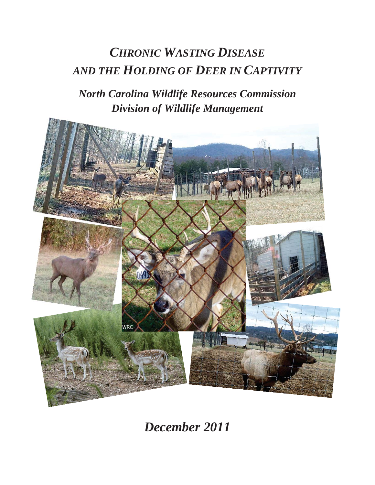# *CHRONIC WASTING DISEASE AND THE HOLDING OF DEER IN CAPTIVITY*

*North Carolina Wildlife Resources Commission Division of Wildlife Management* 



*December 2011*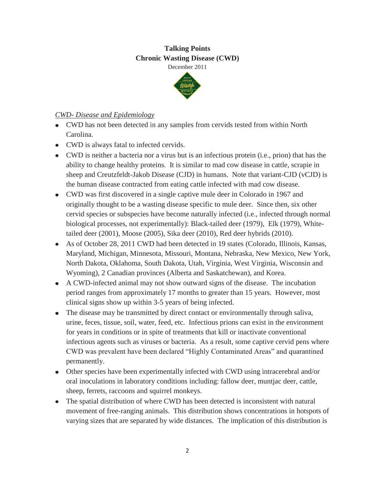# **Talking Points Chronic Wasting Disease (CWD)**

December 2011



# *CWD- Disease and Epidemiology*

- CWD has not been detected in any samples from cervids tested from within North Carolina.
- CWD is always fatal to infected cervids.
- CWD is neither a bacteria nor a virus but is an infectious protein (i.e., prion) that has the ability to change healthy proteins. It is similar to mad cow disease in cattle, scrapie in sheep and Creutzfeldt-Jakob Disease (CJD) in humans. Note that variant-CJD (vCJD) is the human disease contracted from eating cattle infected with mad cow disease.
- CWD was first discovered in a single captive mule deer in Colorado in 1967 and originally thought to be a wasting disease specific to mule deer. Since then, six other cervid species or subspecies have become naturally infected (i.e., infected through normal biological processes, not experimentally): Black-tailed deer (1979), Elk (1979), Whitetailed deer (2001), Moose (2005), Sika deer (2010), Red deer hybrids (2010).
- As of October 28, 2011 CWD had been detected in 19 states (Colorado, Illinois, Kansas, Maryland, Michigan, Minnesota, Missouri, Montana, Nebraska, New Mexico, New York, North Dakota, Oklahoma, South Dakota, Utah, Virginia, West Virginia, Wisconsin and Wyoming), 2 Canadian provinces (Alberta and Saskatchewan), and Korea.
- A CWD-infected animal may not show outward signs of the disease. The incubation period ranges from approximately 17 months to greater than 15 years. However, most clinical signs show up within 3-5 years of being infected.
- The disease may be transmitted by direct contact or environmentally through saliva, urine, feces, tissue, soil, water, feed, etc. Infectious prions can exist in the environment for years in conditions or in spite of treatments that kill or inactivate conventional infectious agents such as viruses or bacteria. As a result, some captive cervid pens where CWD was prevalent have been declared "Highly Contaminated Areas" and quarantined permanently.
- Other species have been experimentally infected with CWD using intracerebral and/or oral inoculations in laboratory conditions including: fallow deer, muntjac deer, cattle, sheep, ferrets, raccoons and squirrel monkeys.
- The spatial distribution of where CWD has been detected is inconsistent with natural movement of free-ranging animals. This distribution shows concentrations in hotspots of varying sizes that are separated by wide distances. The implication of this distribution is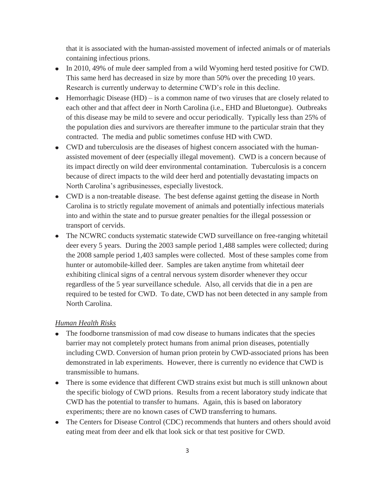that it is associated with the human-assisted movement of infected animals or of materials containing infectious prions.

- In 2010, 49% of mule deer sampled from a wild Wyoming herd tested positive for CWD. This same herd has decreased in size by more than 50% over the preceding 10 years. Research is currently underway to determine CWD's role in this decline.
- $\bullet$  Hemorrhagic Disease (HD) is a common name of two viruses that are closely related to each other and that affect deer in North Carolina (i.e., EHD and Bluetongue). Outbreaks of this disease may be mild to severe and occur periodically. Typically less than 25% of the population dies and survivors are thereafter immune to the particular strain that they contracted. The media and public sometimes confuse HD with CWD.
- CWD and tuberculosis are the diseases of highest concern associated with the humanassisted movement of deer (especially illegal movement). CWD is a concern because of its impact directly on wild deer environmental contamination. Tuberculosis is a concern because of direct impacts to the wild deer herd and potentially devastating impacts on North Carolina's agribusinesses, especially livestock.
- CWD is a non-treatable disease. The best defense against getting the disease in North Carolina is to strictly regulate movement of animals and potentially infectious materials into and within the state and to pursue greater penalties for the illegal possession or transport of cervids.
- The NCWRC conducts systematic statewide CWD surveillance on free-ranging whitetail deer every 5 years. During the 2003 sample period 1,488 samples were collected; during the 2008 sample period 1,403 samples were collected. Most of these samples come from hunter or automobile-killed deer. Samples are taken anytime from whitetail deer exhibiting clinical signs of a central nervous system disorder whenever they occur regardless of the 5 year surveillance schedule. Also, all cervids that die in a pen are required to be tested for CWD. To date, CWD has not been detected in any sample from North Carolina.

# *Human Health Risks*

- $\bullet$ The foodborne transmission of mad cow disease to humans indicates that the species barrier may not completely protect humans from animal prion diseases, potentially including CWD. Conversion of human prion protein by CWD-associated prions has been demonstrated in lab experiments. However, there is currently no evidence that CWD is transmissible to humans.
- There is some evidence that different CWD strains exist but much is still unknown about the specific biology of CWD prions. Results from a recent laboratory study indicate that CWD has the potential to transfer to humans. Again, this is based on laboratory experiments; there are no known cases of CWD transferring to humans.
- The Centers for Disease Control (CDC) recommends that hunters and others should avoid eating meat from deer and elk that look sick or that test positive for CWD.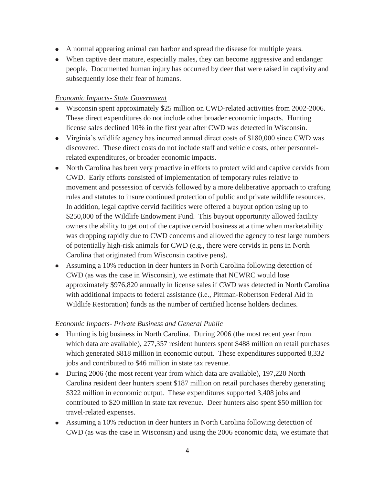- A normal appearing animal can harbor and spread the disease for multiple years.
- When captive deer mature, especially males, they can become aggressive and endanger people. Documented human injury has occurred by deer that were raised in captivity and subsequently lose their fear of humans.

# *Economic Impacts- State Government*

- Wisconsin spent approximately \$25 million on CWD-related activities from 2002-2006. These direct expenditures do not include other broader economic impacts. Hunting license sales declined 10% in the first year after CWD was detected in Wisconsin.
- Virginia's wildlife agency has incurred annual direct costs of \$180,000 since CWD was discovered. These direct costs do not include staff and vehicle costs, other personnelrelated expenditures, or broader economic impacts.
- North Carolina has been very proactive in efforts to protect wild and captive cervids from CWD. Early efforts consisted of implementation of temporary rules relative to movement and possession of cervids followed by a more deliberative approach to crafting rules and statutes to insure continued protection of public and private wildlife resources. In addition, legal captive cervid facilities were offered a buyout option using up to \$250,000 of the Wildlife Endowment Fund. This buyout opportunity allowed facility owners the ability to get out of the captive cervid business at a time when marketability was dropping rapidly due to CWD concerns and allowed the agency to test large numbers of potentially high-risk animals for CWD (e.g., there were cervids in pens in North Carolina that originated from Wisconsin captive pens).
- Assuming a 10% reduction in deer hunters in North Carolina following detection of CWD (as was the case in Wisconsin), we estimate that NCWRC would lose approximately \$976,820 annually in license sales if CWD was detected in North Carolina with additional impacts to federal assistance (i.e., Pittman-Robertson Federal Aid in Wildlife Restoration) funds as the number of certified license holders declines.

# *Economic Impacts- Private Business and General Public*

- Hunting is big business in North Carolina. During 2006 (the most recent year from  $\bullet$ which data are available), 277,357 resident hunters spent \$488 million on retail purchases which generated \$818 million in economic output. These expenditures supported 8,332 jobs and contributed to \$46 million in state tax revenue.
- During 2006 (the most recent year from which data are available), 197,220 North Carolina resident deer hunters spent \$187 million on retail purchases thereby generating \$322 million in economic output. These expenditures supported 3,408 jobs and contributed to \$20 million in state tax revenue. Deer hunters also spent \$50 million for travel-related expenses.
- Assuming a 10% reduction in deer hunters in North Carolina following detection of CWD (as was the case in Wisconsin) and using the 2006 economic data, we estimate that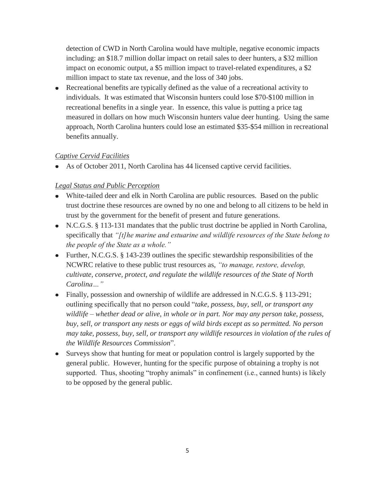detection of CWD in North Carolina would have multiple, negative economic impacts including: an \$18.7 million dollar impact on retail sales to deer hunters, a \$32 million impact on economic output, a \$5 million impact to travel-related expenditures, a \$2 million impact to state tax revenue, and the loss of 340 jobs.

Recreational benefits are typically defined as the value of a recreational activity to individuals. It was estimated that Wisconsin hunters could lose \$70-\$100 million in recreational benefits in a single year. In essence, this value is putting a price tag measured in dollars on how much Wisconsin hunters value deer hunting. Using the same approach, North Carolina hunters could lose an estimated \$35-\$54 million in recreational benefits annually.

# *Captive Cervid Facilities*

As of October 2011, North Carolina has 44 licensed captive cervid facilities.

# *Legal Status and Public Perception*

- White-tailed deer and elk in North Carolina are public resources. Based on the public trust doctrine these resources are owned by no one and belong to all citizens to be held in trust by the government for the benefit of present and future generations.
- N.C.G.S. § 113-131 mandates that the public trust doctrine be applied in North Carolina, specifically that *"[t]he marine and estuarine and wildlife resources of the State belong to the people of the State as a whole."*
- Further, N.C.G.S.  $\S$  143-239 outlines the specific stewardship responsibilities of the NCWRC relative to these public trust resources as, *"to manage, restore, develop, cultivate, conserve, protect, and regulate the wildlife resources of the State of North Carolina…"*
- Finally, possession and ownership of wildlife are addressed in N.C.G.S. § 113-291; outlining specifically that no person could "*take, possess, buy, sell, or transport any wildlife – whether dead or alive, in whole or in part. Nor may any person take, possess, buy, sell, or transport any nests or eggs of wild birds except as so permitted. No person may take, possess, buy, sell, or transport any wildlife resources in violation of the rules of the Wildlife Resources Commission*".
- Surveys show that hunting for meat or population control is largely supported by the general public. However, hunting for the specific purpose of obtaining a trophy is not supported. Thus, shooting "trophy animals" in confinement (i.e., canned hunts) is likely to be opposed by the general public*.*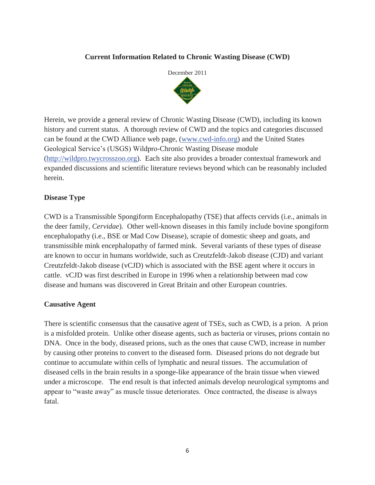### **Current Information Related to Chronic Wasting Disease (CWD)**



Herein, we provide a general review of Chronic Wasting Disease (CWD), including its known history and current status. A thorough review of CWD and the topics and categories discussed can be found at the CWD Alliance web page, (www.cwd-info.org) and the United States Geological Service's (USGS) Wildpro-Chronic Wasting Disease module (http://wildpro.twycrosszoo.org). Each site also provides a broader contextual framework and expanded discussions and scientific literature reviews beyond which can be reasonably included herein.

### **Disease Type**

CWD is a Transmissible Spongiform Encephalopathy (TSE) that affects cervids (i.e., animals in the deer family, *Cervidae*). Other well-known diseases in this family include bovine spongiform encephalopathy (i.e., BSE or Mad Cow Disease), scrapie of domestic sheep and goats, and transmissible mink encephalopathy of farmed mink. Several variants of these types of disease are known to occur in humans worldwide, such as Creutzfeldt-Jakob disease (CJD) and variant Creutzfeldt-Jakob disease (vCJD) which is associated with the BSE agent where it occurs in cattle. vCJD was first described in Europe in 1996 when a relationship between mad cow disease and humans was discovered in Great Britain and other European countries.

### **Causative Agent**

There is scientific consensus that the causative agent of TSEs, such as CWD, is a prion. A prion is a misfolded protein. Unlike other disease agents, such as bacteria or viruses, prions contain no DNA. Once in the body, diseased prions, such as the ones that cause CWD, increase in number by causing other proteins to convert to the diseased form. Diseased prions do not degrade but continue to accumulate within cells of lymphatic and neural tissues. The accumulation of diseased cells in the brain results in a sponge-like appearance of the brain tissue when viewed under a microscope. The end result is that infected animals develop neurological symptoms and appear to "waste away" as muscle tissue deteriorates. Once contracted, the disease is always fatal.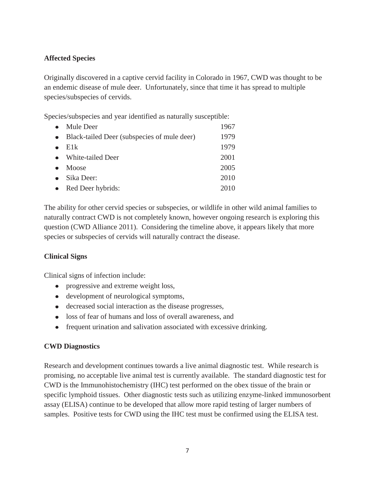# **Affected Species**

Originally discovered in a captive cervid facility in Colorado in 1967, CWD was thought to be an endemic disease of mule deer. Unfortunately, since that time it has spread to multiple species/subspecies of cervids.

Species/subspecies and year identified as naturally susceptible:

| $\bullet$ | Mule Deer                                     | 1967 |
|-----------|-----------------------------------------------|------|
|           | • Black-tailed Deer (subspecies of mule deer) | 1979 |
| $\bullet$ | E1k                                           | 1979 |
|           | • White-tailed Deer                           | 2001 |
| $\bullet$ | Moose                                         | 2005 |
| $\bullet$ | Sika Deer:                                    | 2010 |
|           | • Red Deer hybrids:                           | 2010 |

The ability for other cervid species or subspecies, or wildlife in other wild animal families to naturally contract CWD is not completely known, however ongoing research is exploring this question (CWD Alliance 2011). Considering the timeline above, it appears likely that more species or subspecies of cervids will naturally contract the disease.

# **Clinical Signs**

Clinical signs of infection include:

- progressive and extreme weight loss,
- development of neurological symptoms,
- decreased social interaction as the disease progresses,
- loss of fear of humans and loss of overall awareness, and
- frequent urination and salivation associated with excessive drinking.

# **CWD Diagnostics**

Research and development continues towards a live animal diagnostic test. While research is promising, no acceptable live animal test is currently available. The standard diagnostic test for CWD is the Immunohistochemistry (IHC) test performed on the obex tissue of the brain or specific lymphoid tissues. Other diagnostic tests such as utilizing enzyme-linked immunosorbent assay (ELISA) continue to be developed that allow more rapid testing of larger numbers of samples. Positive tests for CWD using the IHC test must be confirmed using the ELISA test.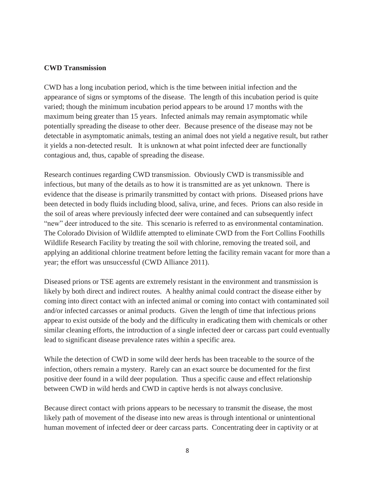### **CWD Transmission**

CWD has a long incubation period, which is the time between initial infection and the appearance of signs or symptoms of the disease. The length of this incubation period is quite varied; though the minimum incubation period appears to be around 17 months with the maximum being greater than 15 years. Infected animals may remain asymptomatic while potentially spreading the disease to other deer. Because presence of the disease may not be detectable in asymptomatic animals, testing an animal does not yield a negative result, but rather it yields a non-detected result. It is unknown at what point infected deer are functionally contagious and, thus, capable of spreading the disease.

Research continues regarding CWD transmission. Obviously CWD is transmissible and infectious, but many of the details as to how it is transmitted are as yet unknown. There is evidence that the disease is primarily transmitted by contact with prions. Diseased prions have been detected in body fluids including blood, saliva, urine, and feces. Prions can also reside in the soil of areas where previously infected deer were contained and can subsequently infect "new" deer introduced to the site. This scenario is referred to as environmental contamination. The Colorado Division of Wildlife attempted to eliminate CWD from the Fort Collins Foothills Wildlife Research Facility by treating the soil with chlorine, removing the treated soil, and applying an additional chlorine treatment before letting the facility remain vacant for more than a year; the effort was unsuccessful (CWD Alliance 2011).

Diseased prions or TSE agents are extremely resistant in the environment and transmission is likely by both direct and indirect routes. A healthy animal could contract the disease either by coming into direct contact with an infected animal or coming into contact with contaminated soil and/or infected carcasses or animal products. Given the length of time that infectious prions appear to exist outside of the body and the difficulty in eradicating them with chemicals or other similar cleaning efforts, the introduction of a single infected deer or carcass part could eventually lead to significant disease prevalence rates within a specific area.

While the detection of CWD in some wild deer herds has been traceable to the source of the infection, others remain a mystery. Rarely can an exact source be documented for the first positive deer found in a wild deer population. Thus a specific cause and effect relationship between CWD in wild herds and CWD in captive herds is not always conclusive.

Because direct contact with prions appears to be necessary to transmit the disease, the most likely path of movement of the disease into new areas is through intentional or unintentional human movement of infected deer or deer carcass parts. Concentrating deer in captivity or at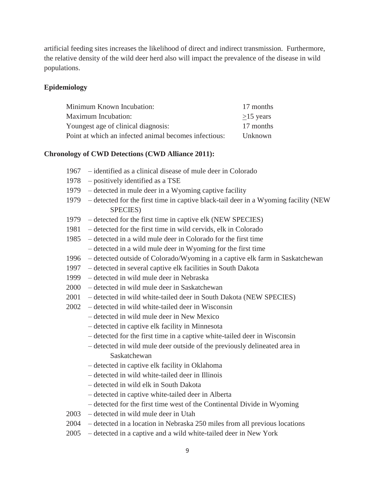artificial feeding sites increases the likelihood of direct and indirect transmission. Furthermore, the relative density of the wild deer herd also will impact the prevalence of the disease in wild populations.

### **Epidemiology**

| Minimum Known Incubation:                             | 17 months      |
|-------------------------------------------------------|----------------|
| Maximum Incubation:                                   | $>15$ years    |
| Youngest age of clinical diagnosis:                   | 17 months      |
| Point at which an infected animal becomes infectious: | <b>Unknown</b> |

#### **Chronology of CWD Detections (CWD Alliance 2011):**

- 1967 identified as a clinical disease of mule deer in Colorado
- 1978 positively identified as a TSE
- 1979 detected in mule deer in a Wyoming captive facility
- 1979 detected for the first time in captive black-tail deer in a Wyoming facility (NEW SPECIES)
- 1979 detected for the first time in captive elk (NEW SPECIES)
- 1981 detected for the first time in wild cervids, elk in Colorado
- 1985 detected in a wild mule deer in Colorado for the first time
	- detected in a wild mule deer in Wyoming for the first time
- 1996 detected outside of Colorado/Wyoming in a captive elk farm in Saskatchewan
- 1997 detected in several captive elk facilities in South Dakota
- 1999 detected in wild mule deer in Nebraska
- 2000 detected in wild mule deer in Saskatchewan
- 2001 detected in wild white-tailed deer in South Dakota (NEW SPECIES)
- 2002 detected in wild white-tailed deer in Wisconsin
	- detected in wild mule deer in New Mexico
	- detected in captive elk facility in Minnesota
	- detected for the first time in a captive white-tailed deer in Wisconsin
	- detected in wild mule deer outside of the previously delineated area in Saskatchewan
	- detected in captive elk facility in Oklahoma
	- detected in wild white-tailed deer in Illinois
	- detected in wild elk in South Dakota
	- detected in captive white-tailed deer in Alberta
	- detected for the first time west of the Continental Divide in Wyoming
- 2003 detected in wild mule deer in Utah
- 2004 detected in a location in Nebraska 250 miles from all previous locations
- 2005 detected in a captive and a wild white-tailed deer in New York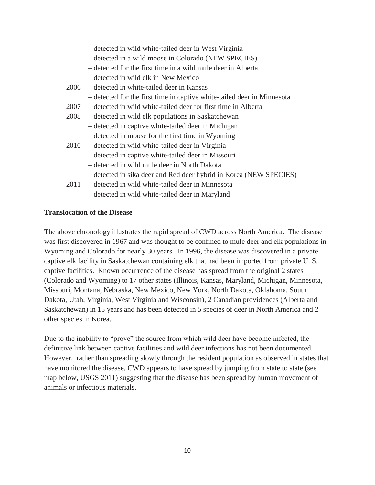- detected in wild white-tailed deer in West Virginia
- detected in a wild moose in Colorado (NEW SPECIES)
- detected for the first time in a wild mule deer in Alberta
- detected in wild elk in New Mexico
- 2006 detected in white-tailed deer in Kansas
	- detected for the first time in captive white-tailed deer in Minnesota
- 2007 detected in wild white-tailed deer for first time in Alberta
- 2008 detected in wild elk populations in Saskatchewan
	- detected in captive white-tailed deer in Michigan
	- detected in moose for the first time in Wyoming
- 2010 detected in wild white-tailed deer in Virginia
	- detected in captive white-tailed deer in Missouri
	- detected in wild mule deer in North Dakota
	- detected in sika deer and Red deer hybrid in Korea (NEW SPECIES)
- 2011 detected in wild white-tailed deer in Minnesota
	- detected in wild white-tailed deer in Maryland

### **Translocation of the Disease**

The above chronology illustrates the rapid spread of CWD across North America. The disease was first discovered in 1967 and was thought to be confined to mule deer and elk populations in Wyoming and Colorado for nearly 30 years. In 1996, the disease was discovered in a private captive elk facility in Saskatchewan containing elk that had been imported from private U. S. captive facilities. Known occurrence of the disease has spread from the original 2 states (Colorado and Wyoming) to 17 other states (Illinois, Kansas, Maryland, Michigan, Minnesota, Missouri, Montana, Nebraska, New Mexico, New York, North Dakota, Oklahoma, South Dakota, Utah, Virginia, West Virginia and Wisconsin), 2 Canadian providences (Alberta and Saskatchewan) in 15 years and has been detected in 5 species of deer in North America and 2 other species in Korea.

Due to the inability to "prove" the source from which wild deer have become infected, the definitive link between captive facilities and wild deer infections has not been documented. However, rather than spreading slowly through the resident population as observed in states that have monitored the disease, CWD appears to have spread by jumping from state to state (see map below, USGS 2011) suggesting that the disease has been spread by human movement of animals or infectious materials.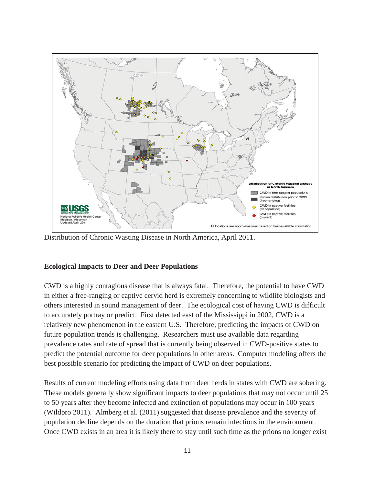

Distribution of Chronic Wasting Disease in North America, April 2011.

### **Ecological Impacts to Deer and Deer Populations**

CWD is a highly contagious disease that is always fatal. Therefore, the potential to have CWD in either a free-ranging or captive cervid herd is extremely concerning to wildlife biologists and others interested in sound management of deer. The ecological cost of having CWD is difficult to accurately portray or predict. First detected east of the Mississippi in 2002, CWD is a relatively new phenomenon in the eastern U.S. Therefore, predicting the impacts of CWD on future population trends is challenging. Researchers must use available data regarding prevalence rates and rate of spread that is currently being observed in CWD-positive states to predict the potential outcome for deer populations in other areas. Computer modeling offers the best possible scenario for predicting the impact of CWD on deer populations.

Results of current modeling efforts using data from deer herds in states with CWD are sobering. These models generally show significant impacts to deer populations that may not occur until 25 to 50 years after they become infected and extinction of populations may occur in 100 years (Wildpro 2011). Almberg et al. (2011) suggested that disease prevalence and the severity of population decline depends on the duration that prions remain infectious in the environment. Once CWD exists in an area it is likely there to stay until such time as the prions no longer exist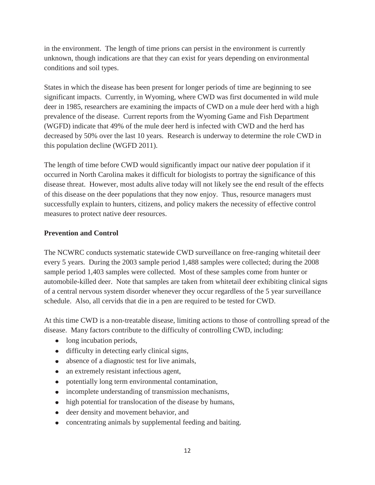in the environment. The length of time prions can persist in the environment is currently unknown, though indications are that they can exist for years depending on environmental conditions and soil types.

States in which the disease has been present for longer periods of time are beginning to see significant impacts. Currently, in Wyoming, where CWD was first documented in wild mule deer in 1985, researchers are examining the impacts of CWD on a mule deer herd with a high prevalence of the disease. Current reports from the Wyoming Game and Fish Department (WGFD) indicate that 49% of the mule deer herd is infected with CWD and the herd has decreased by 50% over the last 10 years. Research is underway to determine the role CWD in this population decline (WGFD 2011).

The length of time before CWD would significantly impact our native deer population if it occurred in North Carolina makes it difficult for biologists to portray the significance of this disease threat. However, most adults alive today will not likely see the end result of the effects of this disease on the deer populations that they now enjoy. Thus, resource managers must successfully explain to hunters, citizens, and policy makers the necessity of effective control measures to protect native deer resources.

### **Prevention and Control**

The NCWRC conducts systematic statewide CWD surveillance on free-ranging whitetail deer every 5 years. During the 2003 sample period 1,488 samples were collected; during the 2008 sample period 1,403 samples were collected. Most of these samples come from hunter or automobile-killed deer. Note that samples are taken from whitetail deer exhibiting clinical signs of a central nervous system disorder whenever they occur regardless of the 5 year surveillance schedule. Also, all cervids that die in a pen are required to be tested for CWD.

At this time CWD is a non-treatable disease, limiting actions to those of controlling spread of the disease. Many factors contribute to the difficulty of controlling CWD, including:

- long incubation periods,
- difficulty in detecting early clinical signs,
- absence of a diagnostic test for live animals,
- an extremely resistant infectious agent,
- potentially long term environmental contamination,
- incomplete understanding of transmission mechanisms,
- high potential for translocation of the disease by humans,
- deer density and movement behavior, and
- concentrating animals by supplemental feeding and baiting.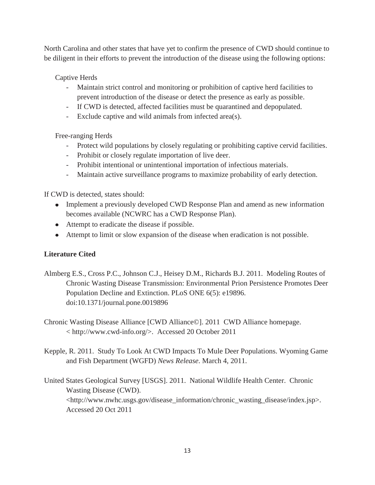North Carolina and other states that have yet to confirm the presence of CWD should continue to be diligent in their efforts to prevent the introduction of the disease using the following options:

Captive Herds

- Maintain strict control and monitoring or prohibition of captive herd facilities to prevent introduction of the disease or detect the presence as early as possible.
- If CWD is detected, affected facilities must be quarantined and depopulated.
- Exclude captive and wild animals from infected area(s).

Free-ranging Herds

- Protect wild populations by closely regulating or prohibiting captive cervid facilities.
- Prohibit or closely regulate importation of live deer.
- Prohibit intentional or unintentional importation of infectious materials.
- Maintain active surveillance programs to maximize probability of early detection.

If CWD is detected, states should:

- Implement a previously developed CWD Response Plan and amend as new information becomes available (NCWRC has a CWD Response Plan).
- Attempt to eradicate the disease if possible.
- Attempt to limit or slow expansion of the disease when eradication is not possible.

# **Literature Cited**

- Almberg E.S., Cross P.C., Johnson C.J., Heisey D.M., Richards B.J. 2011. Modeling Routes of Chronic Wasting Disease Transmission: Environmental Prion Persistence Promotes Deer Population Decline and Extinction. PLoS ONE 6(5): e19896. doi:10.1371/journal.pone.0019896
- Chronic Wasting Disease Alliance [CWD Alliance©]. 2011 CWD Alliance homepage. < http://www.cwd-info.org/>. Accessed 20 October 2011
- Kepple, R. 2011. Study To Look At CWD Impacts To Mule Deer Populations. Wyoming Game and Fish Department (WGFD) *News Release*. March 4, 2011.
- United States Geological Survey [USGS]. 2011. National Wildlife Health Center. Chronic Wasting Disease (CWD). <http://www.nwhc.usgs.gov/disease\_information/chronic\_wasting\_disease/index.jsp>. Accessed 20 Oct 2011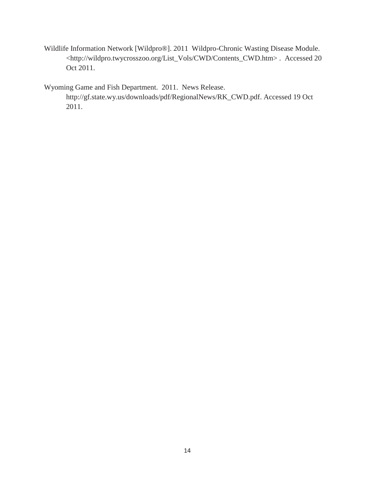Wildlife Information Network [Wildpro®]. 2011 Wildpro-Chronic Wasting Disease Module. <http://wildpro.twycrosszoo.org/List\_Vols/CWD/Contents\_CWD.htm> . Accessed 20 Oct 2011.

Wyoming Game and Fish Department. 2011. News Release. http://gf.state.wy.us/downloads/pdf/RegionalNews/RK\_CWD.pdf. Accessed 19 Oct 2011.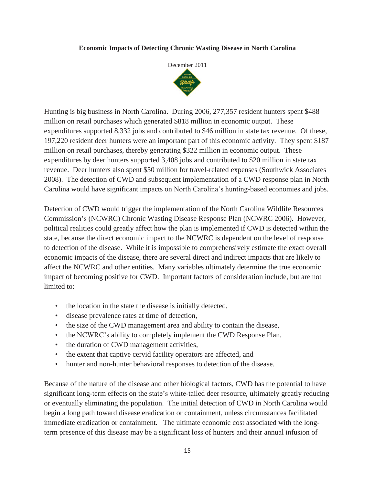#### **Economic Impacts of Detecting Chronic Wasting Disease in North Carolina**



Hunting is big business in North Carolina. During 2006, 277,357 resident hunters spent \$488 million on retail purchases which generated \$818 million in economic output. These expenditures supported 8,332 jobs and contributed to \$46 million in state tax revenue. Of these, 197,220 resident deer hunters were an important part of this economic activity. They spent \$187 million on retail purchases, thereby generating \$322 million in economic output. These expenditures by deer hunters supported 3,408 jobs and contributed to \$20 million in state tax revenue. Deer hunters also spent \$50 million for travel-related expenses (Southwick Associates 2008). The detection of CWD and subsequent implementation of a CWD response plan in North Carolina would have significant impacts on North Carolina's hunting-based economies and jobs.

Detection of CWD would trigger the implementation of the North Carolina Wildlife Resources Commission's (NCWRC) Chronic Wasting Disease Response Plan (NCWRC 2006). However, political realities could greatly affect how the plan is implemented if CWD is detected within the state, because the direct economic impact to the NCWRC is dependent on the level of response to detection of the disease. While it is impossible to comprehensively estimate the exact overall economic impacts of the disease, there are several direct and indirect impacts that are likely to affect the NCWRC and other entities. Many variables ultimately determine the true economic impact of becoming positive for CWD. Important factors of consideration include, but are not limited to:

- the location in the state the disease is initially detected,
- disease prevalence rates at time of detection,
- the size of the CWD management area and ability to contain the disease,
- the NCWRC's ability to completely implement the CWD Response Plan,
- the duration of CWD management activities,
- the extent that captive cervid facility operators are affected, and
- hunter and non-hunter behavioral responses to detection of the disease.

Because of the nature of the disease and other biological factors, CWD has the potential to have significant long-term effects on the state's white-tailed deer resource, ultimately greatly reducing or eventually eliminating the population. The initial detection of CWD in North Carolina would begin a long path toward disease eradication or containment, unless circumstances facilitated immediate eradication or containment. The ultimate economic cost associated with the longterm presence of this disease may be a significant loss of hunters and their annual infusion of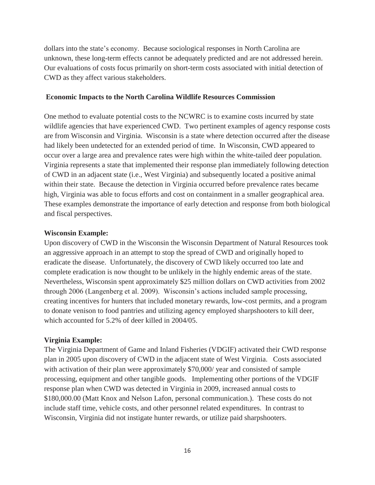dollars into the state's economy. Because sociological responses in North Carolina are unknown, these long-term effects cannot be adequately predicted and are not addressed herein. Our evaluations of costs focus primarily on short-term costs associated with initial detection of CWD as they affect various stakeholders.

### **Economic Impacts to the North Carolina Wildlife Resources Commission**

One method to evaluate potential costs to the NCWRC is to examine costs incurred by state wildlife agencies that have experienced CWD. Two pertinent examples of agency response costs are from Wisconsin and Virginia. Wisconsin is a state where detection occurred after the disease had likely been undetected for an extended period of time. In Wisconsin, CWD appeared to occur over a large area and prevalence rates were high within the white-tailed deer population. Virginia represents a state that implemented their response plan immediately following detection of CWD in an adjacent state (i.e., West Virginia) and subsequently located a positive animal within their state. Because the detection in Virginia occurred before prevalence rates became high, Virginia was able to focus efforts and cost on containment in a smaller geographical area. These examples demonstrate the importance of early detection and response from both biological and fiscal perspectives.

### **Wisconsin Example:**

Upon discovery of CWD in the Wisconsin the Wisconsin Department of Natural Resources took an aggressive approach in an attempt to stop the spread of CWD and originally hoped to eradicate the disease. Unfortunately, the discovery of CWD likely occurred too late and complete eradication is now thought to be unlikely in the highly endemic areas of the state. Nevertheless, Wisconsin spent approximately \$25 million dollars on CWD activities from 2002 through 2006 (Langenberg et al. 2009). Wisconsin's actions included sample processing, creating incentives for hunters that included monetary rewards, low-cost permits, and a program to donate venison to food pantries and utilizing agency employed sharpshooters to kill deer, which accounted for 5.2% of deer killed in 2004/05.

### **Virginia Example:**

The Virginia Department of Game and Inland Fisheries (VDGIF) activated their CWD response plan in 2005 upon discovery of CWD in the adjacent state of West Virginia. Costs associated with activation of their plan were approximately \$70,000/ year and consisted of sample processing, equipment and other tangible goods. Implementing other portions of the VDGIF response plan when CWD was detected in Virginia in 2009, increased annual costs to \$180,000.00 (Matt Knox and Nelson Lafon, personal communication.). These costs do not include staff time, vehicle costs, and other personnel related expenditures. In contrast to Wisconsin, Virginia did not instigate hunter rewards, or utilize paid sharpshooters.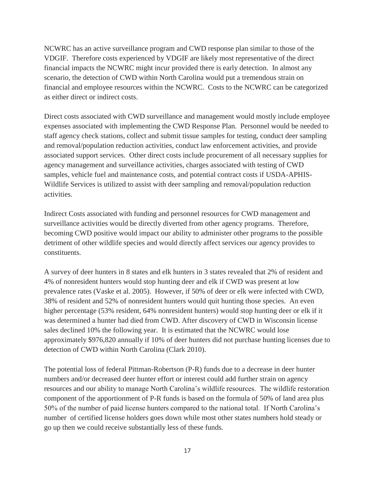NCWRC has an active surveillance program and CWD response plan similar to those of the VDGIF. Therefore costs experienced by VDGIF are likely most representative of the direct financial impacts the NCWRC might incur provided there is early detection. In almost any scenario, the detection of CWD within North Carolina would put a tremendous strain on financial and employee resources within the NCWRC. Costs to the NCWRC can be categorized as either direct or indirect costs.

Direct costs associated with CWD surveillance and management would mostly include employee expenses associated with implementing the CWD Response Plan. Personnel would be needed to staff agency check stations, collect and submit tissue samples for testing, conduct deer sampling and removal/population reduction activities, conduct law enforcement activities, and provide associated support services. Other direct costs include procurement of all necessary supplies for agency management and surveillance activities, charges associated with testing of CWD samples, vehicle fuel and maintenance costs, and potential contract costs if USDA-APHIS-Wildlife Services is utilized to assist with deer sampling and removal/population reduction activities.

Indirect Costs associated with funding and personnel resources for CWD management and surveillance activities would be directly diverted from other agency programs. Therefore, becoming CWD positive would impact our ability to administer other programs to the possible detriment of other wildlife species and would directly affect services our agency provides to constituents.

A survey of deer hunters in 8 states and elk hunters in 3 states revealed that 2% of resident and 4% of nonresident hunters would stop hunting deer and elk if CWD was present at low prevalence rates (Vaske et al. 2005). However, if 50% of deer or elk were infected with CWD, 38% of resident and 52% of nonresident hunters would quit hunting those species. An even higher percentage (53% resident, 64% nonresident hunters) would stop hunting deer or elk if it was determined a hunter had died from CWD. After discovery of CWD in Wisconsin license sales declined 10% the following year. It is estimated that the NCWRC would lose approximately \$976,820 annually if 10% of deer hunters did not purchase hunting licenses due to detection of CWD within North Carolina (Clark 2010).

The potential loss of federal Pittman-Robertson (P-R) funds due to a decrease in deer hunter numbers and/or decreased deer hunter effort or interest could add further strain on agency resources and our ability to manage North Carolina's wildlife resources. The wildlife restoration component of the apportionment of P-R funds is based on the formula of 50% of land area plus 50% of the number of paid license hunters compared to the national total. If North Carolina's number of certified license holders goes down while most other states numbers hold steady or go up then we could receive substantially less of these funds.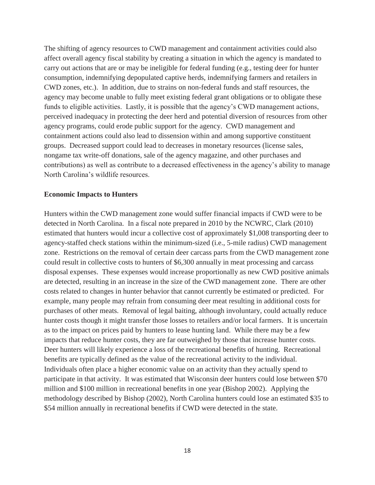The shifting of agency resources to CWD management and containment activities could also affect overall agency fiscal stability by creating a situation in which the agency is mandated to carry out actions that are or may be ineligible for federal funding (e.g., testing deer for hunter consumption, indemnifying depopulated captive herds, indemnifying farmers and retailers in CWD zones, etc.). In addition, due to strains on non-federal funds and staff resources, the agency may become unable to fully meet existing federal grant obligations or to obligate these funds to eligible activities. Lastly, it is possible that the agency's CWD management actions, perceived inadequacy in protecting the deer herd and potential diversion of resources from other agency programs, could erode public support for the agency. CWD management and containment actions could also lead to dissension within and among supportive constituent groups. Decreased support could lead to decreases in monetary resources (license sales, nongame tax write-off donations, sale of the agency magazine, and other purchases and contributions) as well as contribute to a decreased effectiveness in the agency's ability to manage North Carolina's wildlife resources.

#### **Economic Impacts to Hunters**

Hunters within the CWD management zone would suffer financial impacts if CWD were to be detected in North Carolina. In a fiscal note prepared in 2010 by the NCWRC, Clark (2010) estimated that hunters would incur a collective cost of approximately \$1,008 transporting deer to agency-staffed check stations within the minimum-sized (i.e., 5-mile radius) CWD management zone. Restrictions on the removal of certain deer carcass parts from the CWD management zone could result in collective costs to hunters of \$6,300 annually in meat processing and carcass disposal expenses. These expenses would increase proportionally as new CWD positive animals are detected, resulting in an increase in the size of the CWD management zone. There are other costs related to changes in hunter behavior that cannot currently be estimated or predicted. For example, many people may refrain from consuming deer meat resulting in additional costs for purchases of other meats. Removal of legal baiting, although involuntary, could actually reduce hunter costs though it might transfer those losses to retailers and/or local farmers. It is uncertain as to the impact on prices paid by hunters to lease hunting land. While there may be a few impacts that reduce hunter costs, they are far outweighed by those that increase hunter costs. Deer hunters will likely experience a loss of the recreational benefits of hunting. Recreational benefits are typically defined as the value of the recreational activity to the individual. Individuals often place a higher economic value on an activity than they actually spend to participate in that activity. It was estimated that Wisconsin deer hunters could lose between \$70 million and \$100 million in recreational benefits in one year (Bishop 2002). Applying the methodology described by Bishop (2002), North Carolina hunters could lose an estimated \$35 to \$54 million annually in recreational benefits if CWD were detected in the state.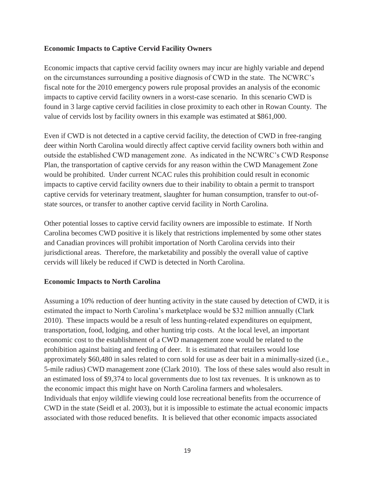### **Economic Impacts to Captive Cervid Facility Owners**

Economic impacts that captive cervid facility owners may incur are highly variable and depend on the circumstances surrounding a positive diagnosis of CWD in the state. The NCWRC's fiscal note for the 2010 emergency powers rule proposal provides an analysis of the economic impacts to captive cervid facility owners in a worst-case scenario. In this scenario CWD is found in 3 large captive cervid facilities in close proximity to each other in Rowan County. The value of cervids lost by facility owners in this example was estimated at \$861,000.

Even if CWD is not detected in a captive cervid facility, the detection of CWD in free-ranging deer within North Carolina would directly affect captive cervid facility owners both within and outside the established CWD management zone. As indicated in the NCWRC's CWD Response Plan, the transportation of captive cervids for any reason within the CWD Management Zone would be prohibited. Under current NCAC rules this prohibition could result in economic impacts to captive cervid facility owners due to their inability to obtain a permit to transport captive cervids for veterinary treatment, slaughter for human consumption, transfer to out-ofstate sources, or transfer to another captive cervid facility in North Carolina.

Other potential losses to captive cervid facility owners are impossible to estimate. If North Carolina becomes CWD positive it is likely that restrictions implemented by some other states and Canadian provinces will prohibit importation of North Carolina cervids into their jurisdictional areas. Therefore, the marketability and possibly the overall value of captive cervids will likely be reduced if CWD is detected in North Carolina.

### **Economic Impacts to North Carolina**

Assuming a 10% reduction of deer hunting activity in the state caused by detection of CWD, it is estimated the impact to North Carolina's marketplace would be \$32 million annually (Clark 2010). These impacts would be a result of less hunting-related expenditures on equipment, transportation, food, lodging, and other hunting trip costs. At the local level, an important economic cost to the establishment of a CWD management zone would be related to the prohibition against baiting and feeding of deer. It is estimated that retailers would lose approximately \$60,480 in sales related to corn sold for use as deer bait in a minimally-sized (i.e., 5-mile radius) CWD management zone (Clark 2010). The loss of these sales would also result in an estimated loss of \$9,374 to local governments due to lost tax revenues. It is unknown as to the economic impact this might have on North Carolina farmers and wholesalers. Individuals that enjoy wildlife viewing could lose recreational benefits from the occurrence of CWD in the state (Seidl et al. 2003), but it is impossible to estimate the actual economic impacts associated with those reduced benefits. It is believed that other economic impacts associated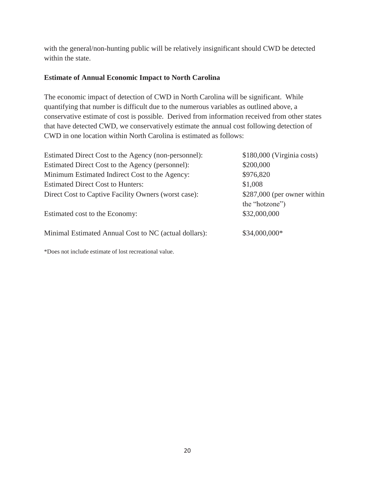with the general/non-hunting public will be relatively insignificant should CWD be detected within the state.

# **Estimate of Annual Economic Impact to North Carolina**

The economic impact of detection of CWD in North Carolina will be significant. While quantifying that number is difficult due to the numerous variables as outlined above, a conservative estimate of cost is possible. Derived from information received from other states that have detected CWD, we conservatively estimate the annual cost following detection of CWD in one location within North Carolina is estimated as follows:

| Estimated Direct Cost to the Agency (non-personnel):  | $$180,000$ (Virginia costs)  |
|-------------------------------------------------------|------------------------------|
| Estimated Direct Cost to the Agency (personnel):      | \$200,000                    |
| Minimum Estimated Indirect Cost to the Agency:        | \$976,820                    |
| <b>Estimated Direct Cost to Hunters:</b>              | \$1,008                      |
| Direct Cost to Captive Facility Owners (worst case):  | $$287,000$ (per owner within |
|                                                       | the "hotzone")               |
| Estimated cost to the Economy:                        | \$32,000,000                 |
| Minimal Estimated Annual Cost to NC (actual dollars): | \$34,000,000*                |

\*Does not include estimate of lost recreational value.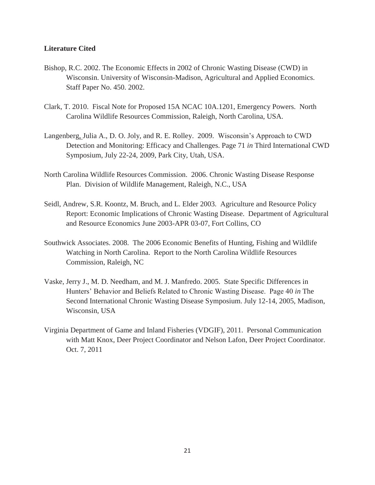### **Literature Cited**

- Bishop, R.C. 2002. The Economic Effects in 2002 of Chronic Wasting Disease (CWD) in Wisconsin. University of Wisconsin-Madison, Agricultural and Applied Economics. Staff Paper No. 450. 2002.
- Clark, T. 2010. Fiscal Note for Proposed 15A NCAC 10A.1201, Emergency Powers. North Carolina Wildlife Resources Commission, Raleigh, North Carolina, USA.
- Langenberg, Julia A., D. O. Joly, and R. E. Rolley. 2009. Wisconsin's Approach to CWD Detection and Monitoring: Efficacy and Challenges. Page 71 *in* Third International CWD Symposium, July 22-24, 2009, Park City, Utah, USA.
- North Carolina Wildlife Resources Commission. 2006. Chronic Wasting Disease Response Plan. Division of Wildlife Management, Raleigh, N.C., USA
- Seidl, Andrew, S.R. Koontz, M. Bruch, and L. Elder 2003. Agriculture and Resource Policy Report: Economic Implications of Chronic Wasting Disease. Department of Agricultural and Resource Economics June 2003-APR 03-07, Fort Collins, CO
- Southwick Associates. 2008. The 2006 Economic Benefits of Hunting, Fishing and Wildlife Watching in North Carolina. Report to the North Carolina Wildlife Resources Commission, Raleigh, NC
- Vaske, Jerry J., M. D. Needham, and M. J. Manfredo. 2005. State Specific Differences in Hunters' Behavior and Beliefs Related to Chronic Wasting Disease. Page 40 *in* The Second International Chronic Wasting Disease Symposium. July 12-14, 2005, Madison, Wisconsin, USA
- Virginia Department of Game and Inland Fisheries (VDGIF), 2011. Personal Communication with Matt Knox, Deer Project Coordinator and Nelson Lafon, Deer Project Coordinator. Oct. 7, 2011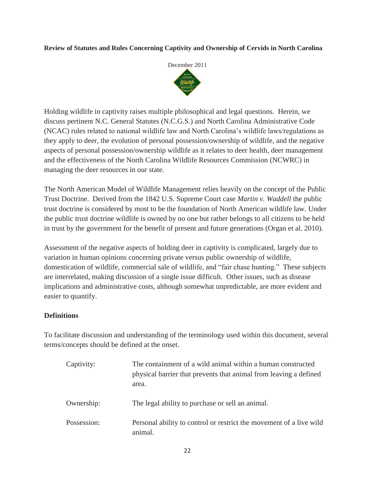### **Review of Statutes and Rules Concerning Captivity and Ownership of Cervids in North Carolina**



Holding wildlife in captivity raises multiple philosophical and legal questions. Herein, we discuss pertinent N.C. General Statutes (N.C.G.S.) and North Carolina Administrative Code (NCAC) rules related to national wildlife law and North Carolina's wildlife laws/regulations as they apply to deer, the evolution of personal possession/ownership of wildlife, and the negative aspects of personal possession/ownership wildlife as it relates to deer health, deer management and the effectiveness of the North Carolina Wildlife Resources Commission (NCWRC) in managing the deer resources in our state.

The North American Model of Wildlife Management relies heavily on the concept of the Public Trust Doctrine. Derived from the 1842 U.S. Supreme Court case *Martin v. Waddell* the public trust doctrine is considered by most to be the foundation of North American wildlife law. Under the public trust doctrine wildlife is owned by no one but rather belongs to all citizens to be held in trust by the government for the benefit of present and future generations (Organ et al. 2010).

Assessment of the negative aspects of holding deer in captivity is complicated, largely due to variation in human opinions concerning private versus public ownership of wildlife, domestication of wildlife, commercial sale of wildlife, and "fair chase hunting." These subjects are interrelated, making discussion of a single issue difficult. Other issues, such as disease implications and administrative costs, although somewhat unpredictable, are more evident and easier to quantify.

# **Definitions**

To facilitate discussion and understanding of the terminology used within this document, several terms/concepts should be defined at the onset.

| Captivity:  | The containment of a wild animal within a human constructed<br>physical barrier that prevents that animal from leaving a defined<br>area. |
|-------------|-------------------------------------------------------------------------------------------------------------------------------------------|
| Ownership:  | The legal ability to purchase or sell an animal.                                                                                          |
| Possession: | Personal ability to control or restrict the movement of a live wild<br>animal.                                                            |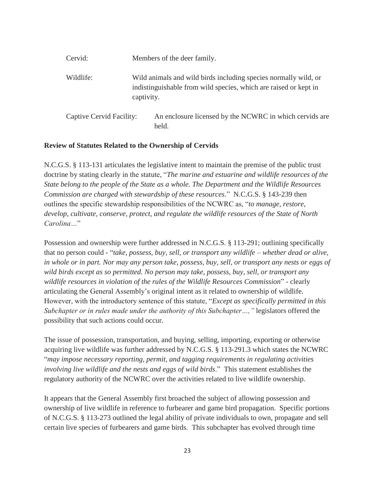| Cervid:                  |            | Members of the deer family.                                                                                                         |  |
|--------------------------|------------|-------------------------------------------------------------------------------------------------------------------------------------|--|
| Wildlife:                | captivity. | Wild animals and wild birds including species normally wild, or<br>indistinguishable from wild species, which are raised or kept in |  |
| Captive Cervid Facility: |            | An enclosure licensed by the NCWRC in which cervids are<br>held.                                                                    |  |

#### **Review of Statutes Related to the Ownership of Cervids**

N.C.G.S. § 113-131 articulates the legislative intent to maintain the premise of the public trust doctrine by stating clearly in the statute, "*The marine and estuarine and wildlife resources of the State belong to the people of the State as a whole. The Department and the Wildlife Resources Commission are charged with stewardship of these resources*." N.C.G.S. § 143-239 then outlines the specific stewardship responsibilities of the NCWRC as, "*to manage, restore, develop, cultivate, conserve, protect, and regulate the wildlife resources of the State of North Carolina…*"

Possession and ownership were further addressed in N.C.G.S. § 113-291; outlining specifically that no person could - "*take, possess, buy, sell, or transport any wildlife – whether dead or alive, in whole or in part. Nor may any person take, possess, buy, sell, or transport any nests or eggs of wild birds except as so permitted. No person may take, possess, buy, sell, or transport any wildlife resources in violation of the rules of the Wildlife Resources Commission*" - clearly articulating the General Assembly's original intent as it related to ownership of wildlife. However, with the introductory sentence of this statute, "*Except as specifically permitted in this Subchapter or in rules made under the authority of this Subchapter…,"* legislators offered the possibility that such actions could occur.

The issue of possession, transportation, and buying, selling, importing, exporting or otherwise acquiring live wildlife was further addressed by N.C.G.S. § 113-291.3 which states the NCWRC "*may impose necessary reporting, permit, and tagging requirements in regulating activities involving live wildlife and the nests and eggs of wild birds*." This statement establishes the regulatory authority of the NCWRC over the activities related to live wildlife ownership.

It appears that the General Assembly first broached the subject of allowing possession and ownership of live wildlife in reference to furbearer and game bird propagation. Specific portions of N.C.G.S. § 113-273 outlined the legal ability of private individuals to own, propagate and sell certain live species of furbearers and game birds. This subchapter has evolved through time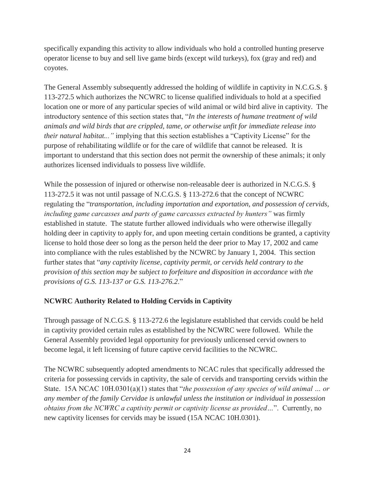specifically expanding this activity to allow individuals who hold a controlled hunting preserve operator license to buy and sell live game birds (except wild turkeys), fox (gray and red) and coyotes.

The General Assembly subsequently addressed the holding of wildlife in captivity in N.C.G.S. § 113-272.5 which authorizes the NCWRC to license qualified individuals to hold at a specified location one or more of any particular species of wild animal or wild bird alive in captivity. The introductory sentence of this section states that, "*In the interests of humane treatment of wild animals and wild birds that are crippled, tame, or otherwise unfit for immediate release into their natural habitat..."* implying that this section establishes a "Captivity License" for the purpose of rehabilitating wildlife or for the care of wildlife that cannot be released. It is important to understand that this section does not permit the ownership of these animals; it only authorizes licensed individuals to possess live wildlife.

While the possession of injured or otherwise non-releasable deer is authorized in N.C.G.S. § 113-272.5 it was not until passage of N.C.G.S. § 113-272.6 that the concept of NCWRC regulating the "*transportation, including importation and exportation, and possession of cervids, including game carcasses and parts of game carcasses extracted by hunters"* was firmly established in statute. The statute further allowed individuals who were otherwise illegally holding deer in captivity to apply for, and upon meeting certain conditions be granted, a captivity license to hold those deer so long as the person held the deer prior to May 17, 2002 and came into compliance with the rules established by the NCWRC by January 1, 2004. This section further states that "*any captivity license, captivity permit, or cervids held contrary to the provision of this section may be subject to forfeiture and disposition in accordance with the provisions of G.S. 113-137 or G.S. 113-276.2*."

# **NCWRC Authority Related to Holding Cervids in Captivity**

Through passage of N.C.G.S. § 113-272.6 the legislature established that cervids could be held in captivity provided certain rules as established by the NCWRC were followed. While the General Assembly provided legal opportunity for previously unlicensed cervid owners to become legal, it left licensing of future captive cervid facilities to the NCWRC.

The NCWRC subsequently adopted amendments to NCAC rules that specifically addressed the criteria for possessing cervids in captivity, the sale of cervids and transporting cervids within the State. 15A NCAC 10H.0301(a)(1) states that "*the possession of any species of wild animal … or any member of the family Cervidae is unlawful unless the institution or individual in possession obtains from the NCWRC a captivity permit or captivity license as provided…*". Currently, no new captivity licenses for cervids may be issued (15A NCAC 10H.0301).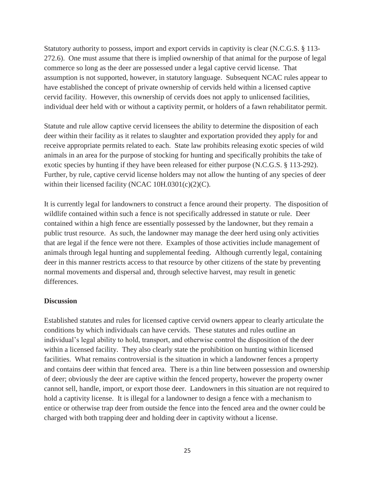Statutory authority to possess, import and export cervids in captivity is clear (N.C.G.S. § 113- 272.6). One must assume that there is implied ownership of that animal for the purpose of legal commerce so long as the deer are possessed under a legal captive cervid license. That assumption is not supported, however, in statutory language. Subsequent NCAC rules appear to have established the concept of private ownership of cervids held within a licensed captive cervid facility. However, this ownership of cervids does not apply to unlicensed facilities, individual deer held with or without a captivity permit, or holders of a fawn rehabilitator permit.

Statute and rule allow captive cervid licensees the ability to determine the disposition of each deer within their facility as it relates to slaughter and exportation provided they apply for and receive appropriate permits related to each. State law prohibits releasing exotic species of wild animals in an area for the purpose of stocking for hunting and specifically prohibits the take of exotic species by hunting if they have been released for either purpose (N.C.G.S. § 113-292). Further, by rule, captive cervid license holders may not allow the hunting of any species of deer within their licensed facility (NCAC 10H.0301(c)(2)(C).

It is currently legal for landowners to construct a fence around their property. The disposition of wildlife contained within such a fence is not specifically addressed in statute or rule. Deer contained within a high fence are essentially possessed by the landowner, but they remain a public trust resource. As such, the landowner may manage the deer herd using only activities that are legal if the fence were not there. Examples of those activities include management of animals through legal hunting and supplemental feeding. Although currently legal, containing deer in this manner restricts access to that resource by other citizens of the state by preventing normal movements and dispersal and, through selective harvest, may result in genetic differences.

### **Discussion**

Established statutes and rules for licensed captive cervid owners appear to clearly articulate the conditions by which individuals can have cervids. These statutes and rules outline an individual's legal ability to hold, transport, and otherwise control the disposition of the deer within a licensed facility. They also clearly state the prohibition on hunting within licensed facilities. What remains controversial is the situation in which a landowner fences a property and contains deer within that fenced area. There is a thin line between possession and ownership of deer; obviously the deer are captive within the fenced property, however the property owner cannot sell, handle, import, or export those deer. Landowners in this situation are not required to hold a captivity license. It is illegal for a landowner to design a fence with a mechanism to entice or otherwise trap deer from outside the fence into the fenced area and the owner could be charged with both trapping deer and holding deer in captivity without a license.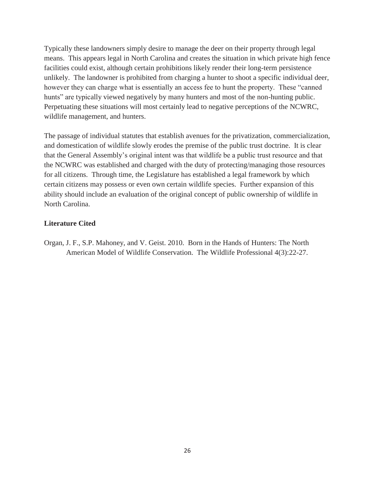Typically these landowners simply desire to manage the deer on their property through legal means. This appears legal in North Carolina and creates the situation in which private high fence facilities could exist, although certain prohibitions likely render their long-term persistence unlikely. The landowner is prohibited from charging a hunter to shoot a specific individual deer, however they can charge what is essentially an access fee to hunt the property. These "canned hunts" are typically viewed negatively by many hunters and most of the non-hunting public. Perpetuating these situations will most certainly lead to negative perceptions of the NCWRC, wildlife management, and hunters.

The passage of individual statutes that establish avenues for the privatization, commercialization, and domestication of wildlife slowly erodes the premise of the public trust doctrine. It is clear that the General Assembly's original intent was that wildlife be a public trust resource and that the NCWRC was established and charged with the duty of protecting/managing those resources for all citizens. Through time, the Legislature has established a legal framework by which certain citizens may possess or even own certain wildlife species. Further expansion of this ability should include an evaluation of the original concept of public ownership of wildlife in North Carolina.

# **Literature Cited**

Organ, J. F., S.P. Mahoney, and V. Geist. 2010. Born in the Hands of Hunters: The North American Model of Wildlife Conservation. The Wildlife Professional 4(3):22-27.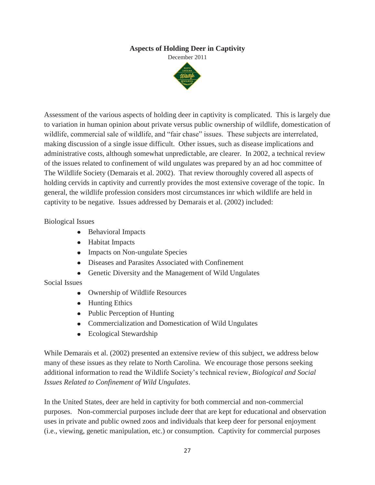# **Aspects of Holding Deer in Captivity**

December 2011



Assessment of the various aspects of holding deer in captivity is complicated. This is largely due to variation in human opinion about private versus public ownership of wildlife, domestication of wildlife, commercial sale of wildlife, and "fair chase" issues. These subjects are interrelated, making discussion of a single issue difficult. Other issues, such as disease implications and administrative costs, although somewhat unpredictable, are clearer. In 2002, a technical review of the issues related to confinement of wild ungulates was prepared by an ad hoc committee of The Wildlife Society (Demarais et al. 2002). That review thoroughly covered all aspects of holding cervids in captivity and currently provides the most extensive coverage of the topic. In general, the wildlife profession considers most circumstances inr which wildlife are held in captivity to be negative. Issues addressed by Demarais et al. (2002) included:

### Biological Issues

- Behavioral Impacts
- Habitat Impacts
- Impacts on Non-ungulate Species
- Diseases and Parasites Associated with Confinement
- Genetic Diversity and the Management of Wild Ungulates

# Social Issues

- Ownership of Wildlife Resources
- Hunting Ethics
- Public Perception of Hunting
- Commercialization and Domestication of Wild Ungulates
- Ecological Stewardship

While Demarais et al. (2002) presented an extensive review of this subject, we address below many of these issues as they relate to North Carolina. We encourage those persons seeking additional information to read the Wildlife Society's technical review, *Biological and Social Issues Related to Confinement of Wild Ungulates*.

In the United States, deer are held in captivity for both commercial and non-commercial purposes. Non-commercial purposes include deer that are kept for educational and observation uses in private and public owned zoos and individuals that keep deer for personal enjoyment (i.e., viewing, genetic manipulation, etc.) or consumption. Captivity for commercial purposes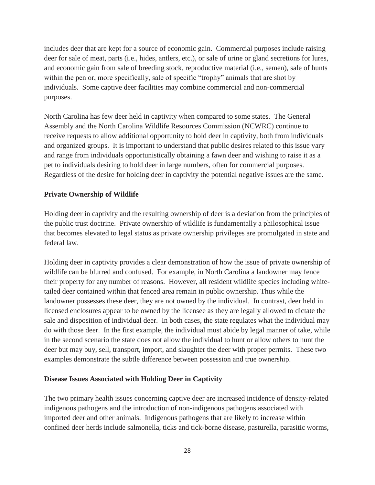includes deer that are kept for a source of economic gain. Commercial purposes include raising deer for sale of meat, parts (i.e., hides, antlers, etc.), or sale of urine or gland secretions for lures, and economic gain from sale of breeding stock, reproductive material (i.e., semen), sale of hunts within the pen or, more specifically, sale of specific "trophy" animals that are shot by individuals. Some captive deer facilities may combine commercial and non-commercial purposes.

North Carolina has few deer held in captivity when compared to some states. The General Assembly and the North Carolina Wildlife Resources Commission (NCWRC) continue to receive requests to allow additional opportunity to hold deer in captivity, both from individuals and organized groups. It is important to understand that public desires related to this issue vary and range from individuals opportunistically obtaining a fawn deer and wishing to raise it as a pet to individuals desiring to hold deer in large numbers, often for commercial purposes. Regardless of the desire for holding deer in captivity the potential negative issues are the same.

# **Private Ownership of Wildlife**

Holding deer in captivity and the resulting ownership of deer is a deviation from the principles of the public trust doctrine. Private ownership of wildlife is fundamentally a philosophical issue that becomes elevated to legal status as private ownership privileges are promulgated in state and federal law.

Holding deer in captivity provides a clear demonstration of how the issue of private ownership of wildlife can be blurred and confused. For example, in North Carolina a landowner may fence their property for any number of reasons. However, all resident wildlife species including whitetailed deer contained within that fenced area remain in public ownership. Thus while the landowner possesses these deer, they are not owned by the individual. In contrast, deer held in licensed enclosures appear to be owned by the licensee as they are legally allowed to dictate the sale and disposition of individual deer. In both cases, the state regulates what the individual may do with those deer. In the first example, the individual must abide by legal manner of take, while in the second scenario the state does not allow the individual to hunt or allow others to hunt the deer but may buy, sell, transport, import, and slaughter the deer with proper permits. These two examples demonstrate the subtle difference between possession and true ownership.

# **Disease Issues Associated with Holding Deer in Captivity**

The two primary health issues concerning captive deer are increased incidence of density-related indigenous pathogens and the introduction of non-indigenous pathogens associated with imported deer and other animals. Indigenous pathogens that are likely to increase within confined deer herds include salmonella, ticks and tick-borne disease, pasturella, parasitic worms,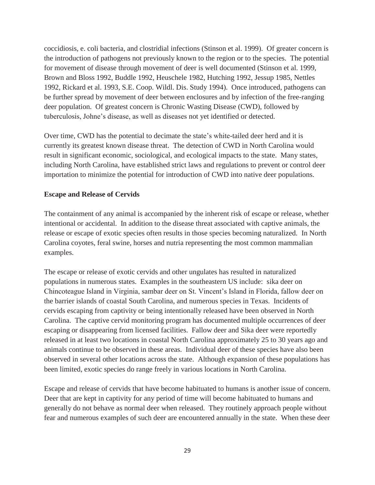coccidiosis, e. coli bacteria, and clostridial infections (Stinson et al. 1999). Of greater concern is the introduction of pathogens not previously known to the region or to the species. The potential for movement of disease through movement of deer is well documented (Stinson et al. 1999, Brown and Bloss 1992, Buddle 1992, Heuschele 1982, Hutching 1992, Jessup 1985, Nettles 1992, Rickard et al. 1993, S.E. Coop. Wildl. Dis. Study 1994). Once introduced, pathogens can be further spread by movement of deer between enclosures and by infection of the free-ranging deer population. Of greatest concern is Chronic Wasting Disease (CWD), followed by tuberculosis, Johne's disease, as well as diseases not yet identified or detected.

Over time, CWD has the potential to decimate the state's white-tailed deer herd and it is currently its greatest known disease threat. The detection of CWD in North Carolina would result in significant economic, sociological, and ecological impacts to the state. Many states, including North Carolina, have established strict laws and regulations to prevent or control deer importation to minimize the potential for introduction of CWD into native deer populations.

### **Escape and Release of Cervids**

The containment of any animal is accompanied by the inherent risk of escape or release, whether intentional or accidental. In addition to the disease threat associated with captive animals, the release or escape of exotic species often results in those species becoming naturalized. In North Carolina coyotes, feral swine, horses and nutria representing the most common mammalian examples.

The escape or release of exotic cervids and other ungulates has resulted in naturalized populations in numerous states. Examples in the southeastern US include: sika deer on Chincoteague Island in Virginia, sambar deer on St. Vincent's Island in Florida, fallow deer on the barrier islands of coastal South Carolina, and numerous species in Texas. Incidents of cervids escaping from captivity or being intentionally released have been observed in North Carolina. The captive cervid monitoring program has documented multiple occurrences of deer escaping or disappearing from licensed facilities. Fallow deer and Sika deer were reportedly released in at least two locations in coastal North Carolina approximately 25 to 30 years ago and animals continue to be observed in these areas. Individual deer of these species have also been observed in several other locations across the state. Although expansion of these populations has been limited, exotic species do range freely in various locations in North Carolina.

Escape and release of cervids that have become habituated to humans is another issue of concern. Deer that are kept in captivity for any period of time will become habituated to humans and generally do not behave as normal deer when released. They routinely approach people without fear and numerous examples of such deer are encountered annually in the state. When these deer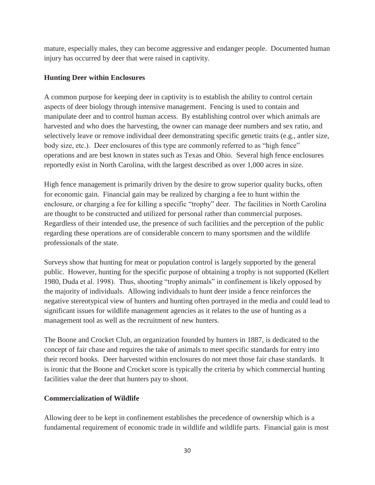mature, especially males, they can become aggressive and endanger people. Documented human injury has occurred by deer that were raised in captivity.

# **Hunting Deer within Enclosures**

A common purpose for keeping deer in captivity is to establish the ability to control certain aspects of deer biology through intensive management. Fencing is used to contain and manipulate deer and to control human access. By establishing control over which animals are harvested and who does the harvesting, the owner can manage deer numbers and sex ratio, and selectively leave or remove individual deer demonstrating specific genetic traits (e.g., antler size, body size, etc.). Deer enclosures of this type are commonly referred to as "high fence" operations and are best known in states such as Texas and Ohio. Several high fence enclosures reportedly exist in North Carolina, with the largest described as over 1,000 acres in size.

High fence management is primarily driven by the desire to grow superior quality bucks, often for economic gain. Financial gain may be realized by charging a fee to hunt within the enclosure, or charging a fee for killing a specific "trophy" deer. The facilities in North Carolina are thought to be constructed and utilized for personal rather than commercial purposes. Regardless of their intended use, the presence of such facilities and the perception of the public regarding these operations are of considerable concern to many sportsmen and the wildlife professionals of the state.

Surveys show that hunting for meat or population control is largely supported by the general public. However, hunting for the specific purpose of obtaining a trophy is not supported (Kellert 1980, Duda et al. 1998). Thus, shooting "trophy animals" in confinement is likely opposed by the majority of individuals. Allowing individuals to hunt deer inside a fence reinforces the negative stereotypical view of hunters and hunting often portrayed in the media and could lead to significant issues for wildlife management agencies as it relates to the use of hunting as a management tool as well as the recruitment of new hunters.

The Boone and Crocket Club, an organization founded by hunters in 1887, is dedicated to the concept of fair chase and requires the take of animals to meet specific standards for entry into their record books. Deer harvested within enclosures do not meet those fair chase standards. It is ironic that the Boone and Crocket score is typically the criteria by which commercial hunting facilities value the deer that hunters pay to shoot.

# **Commercialization of Wildlife**

Allowing deer to be kept in confinement establishes the precedence of ownership which is a fundamental requirement of economic trade in wildlife and wildlife parts. Financial gain is most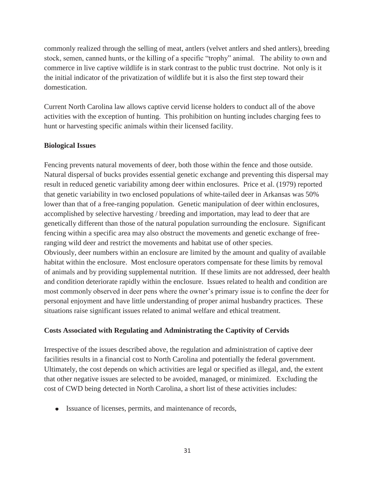commonly realized through the selling of meat, antlers (velvet antlers and shed antlers), breeding stock, semen, canned hunts, or the killing of a specific "trophy" animal. The ability to own and commerce in live captive wildlife is in stark contrast to the public trust doctrine. Not only is it the initial indicator of the privatization of wildlife but it is also the first step toward their domestication.

Current North Carolina law allows captive cervid license holders to conduct all of the above activities with the exception of hunting. This prohibition on hunting includes charging fees to hunt or harvesting specific animals within their licensed facility.

### **Biological Issues**

Fencing prevents natural movements of deer, both those within the fence and those outside. Natural dispersal of bucks provides essential genetic exchange and preventing this dispersal may result in reduced genetic variability among deer within enclosures. Price et al. (1979) reported that genetic variability in two enclosed populations of white-tailed deer in Arkansas was 50% lower than that of a free-ranging population. Genetic manipulation of deer within enclosures, accomplished by selective harvesting / breeding and importation, may lead to deer that are genetically different than those of the natural population surrounding the enclosure. Significant fencing within a specific area may also obstruct the movements and genetic exchange of freeranging wild deer and restrict the movements and habitat use of other species. Obviously, deer numbers within an enclosure are limited by the amount and quality of available habitat within the enclosure. Most enclosure operators compensate for these limits by removal of animals and by providing supplemental nutrition. If these limits are not addressed, deer health and condition deteriorate rapidly within the enclosure. Issues related to health and condition are most commonly observed in deer pens where the owner's primary issue is to confine the deer for personal enjoyment and have little understanding of proper animal husbandry practices. These situations raise significant issues related to animal welfare and ethical treatment.

# **Costs Associated with Regulating and Administrating the Captivity of Cervids**

Irrespective of the issues described above, the regulation and administration of captive deer facilities results in a financial cost to North Carolina and potentially the federal government. Ultimately, the cost depends on which activities are legal or specified as illegal, and, the extent that other negative issues are selected to be avoided, managed, or minimized. Excluding the cost of CWD being detected in North Carolina, a short list of these activities includes:

• Issuance of licenses, permits, and maintenance of records,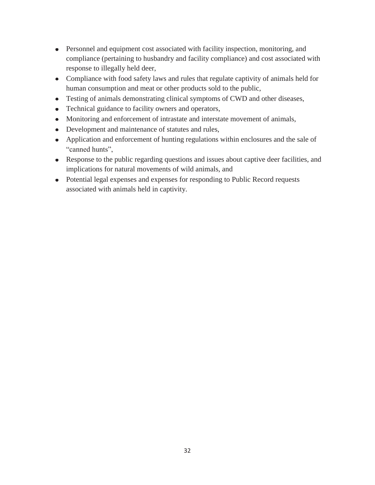- Personnel and equipment cost associated with facility inspection, monitoring, and compliance (pertaining to husbandry and facility compliance) and cost associated with response to illegally held deer,
- Compliance with food safety laws and rules that regulate captivity of animals held for human consumption and meat or other products sold to the public,
- Testing of animals demonstrating clinical symptoms of CWD and other diseases,
- Technical guidance to facility owners and operators,
- Monitoring and enforcement of intrastate and interstate movement of animals,
- Development and maintenance of statutes and rules,
- Application and enforcement of hunting regulations within enclosures and the sale of "canned hunts",
- Response to the public regarding questions and issues about captive deer facilities, and implications for natural movements of wild animals, and
- Potential legal expenses and expenses for responding to Public Record requests associated with animals held in captivity.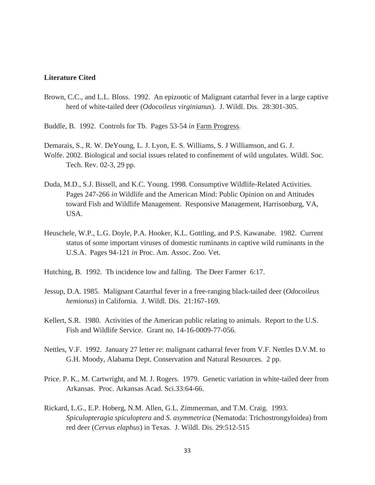#### **Literature Cited**

- Brown, C.C., and L.L. Bloss. 1992. An epizootic of Malignant catarrhal fever in a large captive herd of white-tailed deer (*Odocoileus virginianus*). J. Wildl. Dis. 28:301-305.
- Buddle, B. 1992. Controls for Tb. Pages 53-54 *in* Farm Progress.
- Demarais, S., R. W. DeYoung, L. J. Lyon, E. S. Williams, S. J Williamson, and G. J.
- Wolfe. 2002. Biological and social issues related to confinement of wild ungulates. Wildl. Soc. Tech. Rev. 02-3, 29 pp.
- Duda, M.D., S.J. Bissell, and K.C. Young. 1998. Consumptive Wildlife-Related Activities. Pages 247-266 *in* Wildlife and the American Mind: Public Opinion on and Attitudes toward Fish and Wildlife Management. Responsive Management, Harrisonburg, VA, USA.
- Heuschele, W.P., L.G. Doyle, P.A. Hooker, K.L. Gottling, and P.S. Kawanabe. 1982. Current status of some important viruses of domestic ruminants in captive wild ruminants in the U.S.A. Pages 94-121 *in* Proc. Am. Assoc. Zoo. Vet.
- Hutching, B. 1992. Tb incidence low and falling. The Deer Farmer 6:17.
- Jessup, D.A. 1985. Malignant Catarrhal fever in a free-ranging black-tailed deer (*Odocoileus hemionus*) in California. J. Wildl. Dis. 21:167-169.
- Kellert, S.R. 1980. Activities of the American public relating to animals. Report to the U.S. Fish and Wildlife Service. Grant no. 14-16-0009-77-056.
- Nettles, V.F. 1992. January 27 letter re: malignant catharral fever from V.F. Nettles D.V.M. to G.H. Moody, Alabama Dept. Conservation and Natural Resources. 2 pp.
- Price. P. K., M. Cartwright, and M. J. Rogers. 1979. Genetic variation in white-tailed deer from Arkansas. Proc. Arkansas Acad. Sci.33:64-66.
- Rickard, L.G., E.P. Hoberg, N.M. Allen, G.L. Zimmerman, and T.M. Craig. 1993. *Spiculopteragia spiculoptera* and *S. asymmetrica* (Nematoda: Trichostrongyloidea) from red deer (*Cervus elaphus*) in Texas. J. Wildl. Dis. 29:512-515